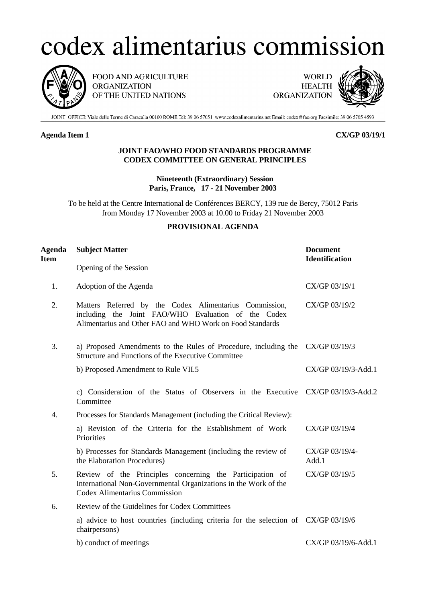# codex alimentarius commission



FOOD AND AGRICULTURE **ORGANIZATION** OF THE UNITED NATIONS

**WORLD HEALTH ORGANIZATION** 



JOINT OFFICE: Viale delle Terme di Caracalla 00100 ROME Tel: 39 06 57051 www.codexalimentarius.net Email: codex@fao.org Facsimile: 39 06 5705 4593

# **Agenda Item 1 CX/GP 03/19/1**

### **JOINT FAO/WHO FOOD STANDARDS PROGRAMME CODEX COMMITTEE ON GENERAL PRINCIPLES**

# **Nineteenth (Extraordinary) Session Paris, France, 17 - 21 November 2003**

To be held at the Centre International de Conférences BERCY, 139 rue de Bercy, 75012 Paris from Monday 17 November 2003 at 10.00 to Friday 21 November 2003

# **PROVISIONAL AGENDA**

| Agenda<br><b>Item</b> | <b>Subject Matter</b>                                                                                                                                                      | <b>Document</b><br><b>Identification</b> |
|-----------------------|----------------------------------------------------------------------------------------------------------------------------------------------------------------------------|------------------------------------------|
|                       | Opening of the Session                                                                                                                                                     |                                          |
| 1.                    | Adoption of the Agenda                                                                                                                                                     | CX/GP 03/19/1                            |
| 2.                    | Matters Referred by the Codex Alimentarius Commission,<br>including the Joint FAO/WHO Evaluation of the Codex<br>Alimentarius and Other FAO and WHO Work on Food Standards | CX/GP 03/19/2                            |
| 3.                    | a) Proposed Amendments to the Rules of Procedure, including the CX/GP 03/19/3<br>Structure and Functions of the Executive Committee                                        |                                          |
|                       | b) Proposed Amendment to Rule VII.5                                                                                                                                        | CX/GP 03/19/3-Add.1                      |
|                       | c) Consideration of the Status of Observers in the Executive CX/GP 03/19/3-Add.2<br>Committee                                                                              |                                          |
| 4.                    | Processes for Standards Management (including the Critical Review):                                                                                                        |                                          |
|                       | a) Revision of the Criteria for the Establishment of Work<br>Priorities                                                                                                    | CX/GP 03/19/4                            |
|                       | b) Processes for Standards Management (including the review of<br>the Elaboration Procedures)                                                                              | CX/GP 03/19/4-<br>Add.1                  |
| 5.                    | Review of the Principles concerning the Participation of<br>International Non-Governmental Organizations in the Work of the<br><b>Codex Alimentarius Commission</b>        | CX/GP 03/19/5                            |
| 6.                    | Review of the Guidelines for Codex Committees                                                                                                                              |                                          |
|                       | a) advice to host countries (including criteria for the selection of CX/GP 03/19/6<br>chairpersons)                                                                        |                                          |
|                       | b) conduct of meetings                                                                                                                                                     | CX/GP 03/19/6-Add.1                      |